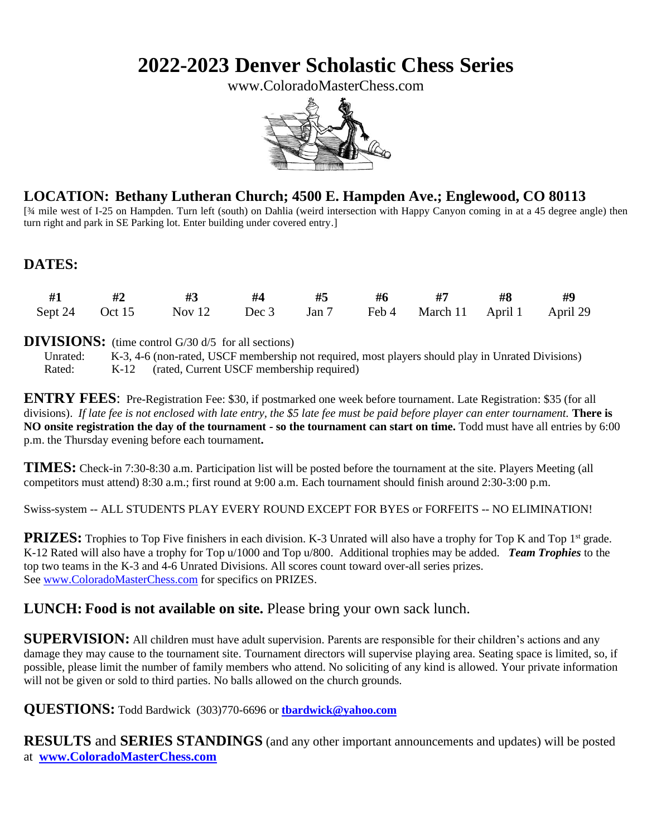# **2022-2023 Denver Scholastic Chess Series**

www.ColoradoMasterChess.com



## **LOCATION: Bethany Lutheran Church; 4500 E. Hampden Ave.; Englewood, CO 80113**

[34 mile west of I-25 on Hampden. Turn left (south) on Dahlia (weird intersection with Happy Canyon coming in at a 45 degree angle) then turn right and park in SE Parking lot. Enter building under covered entry.]

## **DATES:**

|  | #1 #2 #3 #4 #5 #6 #7 #8 #9                                        |  |  |  |
|--|-------------------------------------------------------------------|--|--|--|
|  | Sept 24 Oct 15 Nov 12 Dec 3 Jan 7 Feb 4 March 11 April 1 April 29 |  |  |  |

#### **DIVISIONS:** (time control G/30 d/5 for all sections)

Unrated: K-3, 4-6 (non-rated, USCF membership not required, most players should play in Unrated Divisions) Rated: K-12 (rated, Current USCF membership required)

**ENTRY FEES**: Pre-Registration Fee: \$30, if postmarked one week before tournament. Late Registration: \$35 (for all divisions). *If late fee is not enclosed with late entry, the \$5 late fee must be paid before player can enter tournament.* **There is NO onsite registration the day of the tournament - so the tournament can start on time.** Todd must have all entries by 6:00 p.m. the Thursday evening before each tournament**.**

**TIMES:** Check-in 7:30-8:30 a.m. Participation list will be posted before the tournament at the site. Players Meeting (all competitors must attend) 8:30 a.m.; first round at 9:00 a.m. Each tournament should finish around 2:30-3:00 p.m.

Swiss-system -- ALL STUDENTS PLAY EVERY ROUND EXCEPT FOR BYES or FORFEITS -- NO ELIMINATION!

**PRIZES:** Trophies to Top Five finishers in each division. K-3 Unrated will also have a trophy for Top K and Top 1<sup>st</sup> grade. K-12 Rated will also have a trophy for Top u/1000 and Top u/800. Additional trophies may be added. *Team Trophies* to the top two teams in the K-3 and 4-6 Unrated Divisions. All scores count toward over-all series prizes. See [www.ColoradoMasterChess.com](http://www.coloradomasterchess.com/) for specifics on PRIZES.

### **LUNCH: Food is not available on site.** Please bring your own sack lunch.

**SUPERVISION:** All children must have adult supervision. Parents are responsible for their children's actions and any damage they may cause to the tournament site. Tournament directors will supervise playing area. Seating space is limited, so, if possible, please limit the number of family members who attend. No soliciting of any kind is allowed. Your private information will not be given or sold to third parties. No balls allowed on the church grounds.

**QUESTIONS:** Todd Bardwick (303)770-6696 or **[tbardwick@yahoo.com](mailto:tbardwick@yahoo.com)**

**RESULTS** and **SERIES STANDINGS** (and any other important announcements and updates) will be posted at **[www.ColoradoMasterChess.com](http://www.coloradomasterchess.com/)**